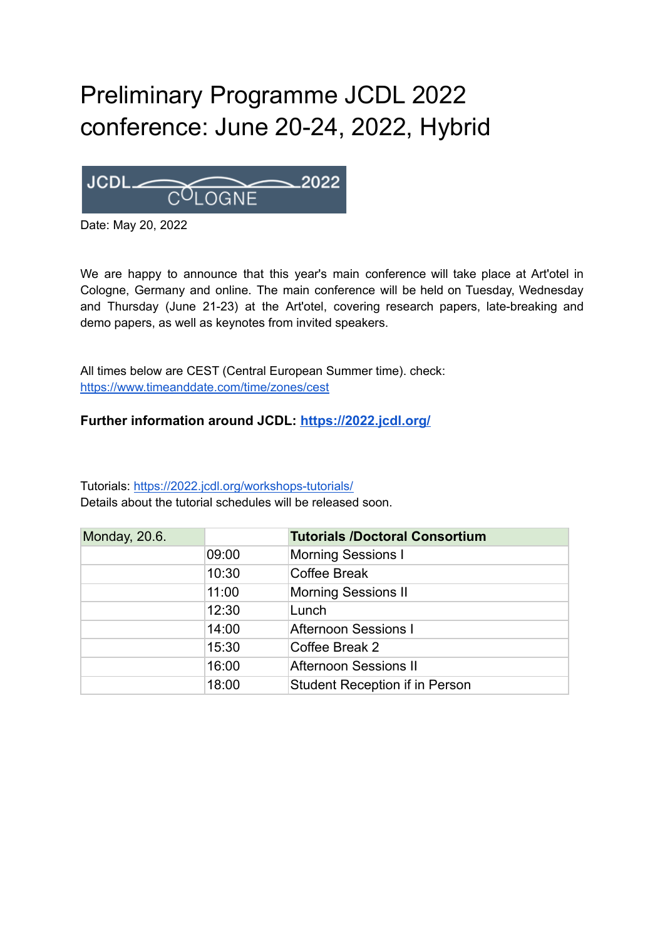## Preliminary Programme JCDL 2022 conference: June 20-24, 2022, Hybrid



Date: May 20, 2022

We are happy to announce that this year's main conference will take place at Art'otel in Cologne, Germany and online. The main conference will be held on Tuesday, Wednesday and Thursday (June 21-23) at the Art'otel, covering research papers, late-breaking and demo papers, as well as keynotes from invited speakers.

All times below are CEST (Central European Summer time). check: <https://www.timeanddate.com/time/zones/cest>

## **Further information around JCDL: <https://2022.jcdl.org/>**

Tutorials: <https://2022.jcdl.org/workshops-tutorials/> Details about the tutorial schedules will be released soon.

| Monday, 20.6. |       | <b>Tutorials /Doctoral Consortium</b> |
|---------------|-------|---------------------------------------|
|               | 09:00 | <b>Morning Sessions I</b>             |
|               | 10:30 | Coffee Break                          |
|               | 11:00 | <b>Morning Sessions II</b>            |
|               | 12:30 | Lunch                                 |
|               | 14:00 | <b>Afternoon Sessions I</b>           |
|               | 15:30 | Coffee Break 2                        |
|               | 16:00 | <b>Afternoon Sessions II</b>          |
|               | 18:00 | <b>Student Reception if in Person</b> |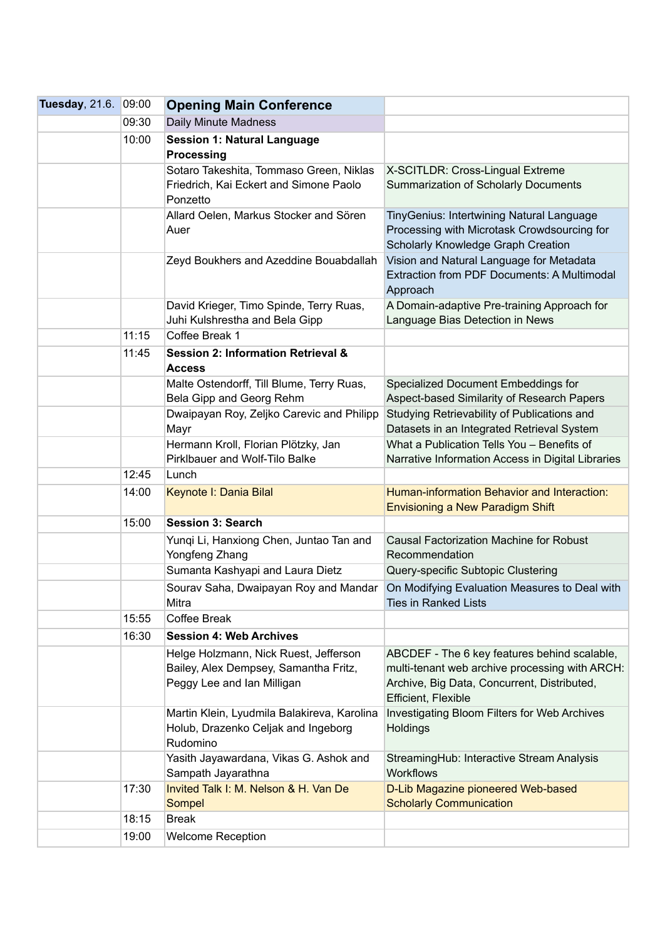| Tuesday, 21.6. | 09:00 | <b>Opening Main Conference</b>                                                                               |                                                                                                                                                                      |
|----------------|-------|--------------------------------------------------------------------------------------------------------------|----------------------------------------------------------------------------------------------------------------------------------------------------------------------|
|                | 09:30 | Daily Minute Madness                                                                                         |                                                                                                                                                                      |
|                | 10:00 | <b>Session 1: Natural Language</b><br><b>Processing</b>                                                      |                                                                                                                                                                      |
|                |       | Sotaro Takeshita, Tommaso Green, Niklas<br>Friedrich, Kai Eckert and Simone Paolo<br>Ponzetto                | X-SCITLDR: Cross-Lingual Extreme<br>Summarization of Scholarly Documents                                                                                             |
|                |       | Allard Oelen, Markus Stocker and Sören<br>Auer                                                               | TinyGenius: Intertwining Natural Language<br>Processing with Microtask Crowdsourcing for<br>Scholarly Knowledge Graph Creation                                       |
|                |       | Zeyd Boukhers and Azeddine Bouabdallah                                                                       | Vision and Natural Language for Metadata<br>Extraction from PDF Documents: A Multimodal<br>Approach                                                                  |
|                |       | David Krieger, Timo Spinde, Terry Ruas,<br>Juhi Kulshrestha and Bela Gipp                                    | A Domain-adaptive Pre-training Approach for<br>Language Bias Detection in News                                                                                       |
|                | 11:15 | Coffee Break 1                                                                                               |                                                                                                                                                                      |
|                | 11:45 | <b>Session 2: Information Retrieval &amp;</b><br><b>Access</b>                                               |                                                                                                                                                                      |
|                |       | Malte Ostendorff, Till Blume, Terry Ruas,<br>Bela Gipp and Georg Rehm                                        | Specialized Document Embeddings for<br>Aspect-based Similarity of Research Papers                                                                                    |
|                |       | Dwaipayan Roy, Zeljko Carevic and Philipp                                                                    | Studying Retrievability of Publications and                                                                                                                          |
|                |       | Mayr                                                                                                         | Datasets in an Integrated Retrieval System                                                                                                                           |
|                |       | Hermann Kroll, Florian Plötzky, Jan<br>Pirklbauer and Wolf-Tilo Balke                                        | What a Publication Tells You - Benefits of<br>Narrative Information Access in Digital Libraries                                                                      |
|                | 12:45 | Lunch                                                                                                        |                                                                                                                                                                      |
|                | 14:00 | Keynote I: Dania Bilal                                                                                       | Human-information Behavior and Interaction:<br>Envisioning a New Paradigm Shift                                                                                      |
|                | 15:00 | <b>Session 3: Search</b>                                                                                     |                                                                                                                                                                      |
|                |       | Yungi Li, Hanxiong Chen, Juntao Tan and<br>Yongfeng Zhang                                                    | <b>Causal Factorization Machine for Robust</b><br>Recommendation                                                                                                     |
|                |       | Sumanta Kashyapi and Laura Dietz                                                                             | Query-specific Subtopic Clustering                                                                                                                                   |
|                |       | Sourav Saha, Dwaipayan Roy and Mandar<br>Mitra                                                               | On Modifying Evaluation Measures to Deal with<br><b>Ties in Ranked Lists</b>                                                                                         |
|                | 15:55 | Coffee Break                                                                                                 |                                                                                                                                                                      |
|                | 16:30 | <b>Session 4: Web Archives</b>                                                                               |                                                                                                                                                                      |
|                |       | Helge Holzmann, Nick Ruest, Jefferson<br>Bailey, Alex Dempsey, Samantha Fritz,<br>Peggy Lee and Ian Milligan | ABCDEF - The 6 key features behind scalable,<br>multi-tenant web archive processing with ARCH:<br>Archive, Big Data, Concurrent, Distributed,<br>Efficient, Flexible |
|                |       | Martin Klein, Lyudmila Balakireva, Karolina<br>Holub, Drazenko Celjak and Ingeborg<br>Rudomino               | Investigating Bloom Filters for Web Archives<br>Holdings                                                                                                             |
|                |       | Yasith Jayawardana, Vikas G. Ashok and<br>Sampath Jayarathna                                                 | StreamingHub: Interactive Stream Analysis<br><b>Workflows</b>                                                                                                        |
|                | 17:30 | Invited Talk I: M. Nelson & H. Van De<br>Sompel                                                              | D-Lib Magazine pioneered Web-based<br><b>Scholarly Communication</b>                                                                                                 |
|                | 18:15 | <b>Break</b>                                                                                                 |                                                                                                                                                                      |
|                | 19:00 | <b>Welcome Reception</b>                                                                                     |                                                                                                                                                                      |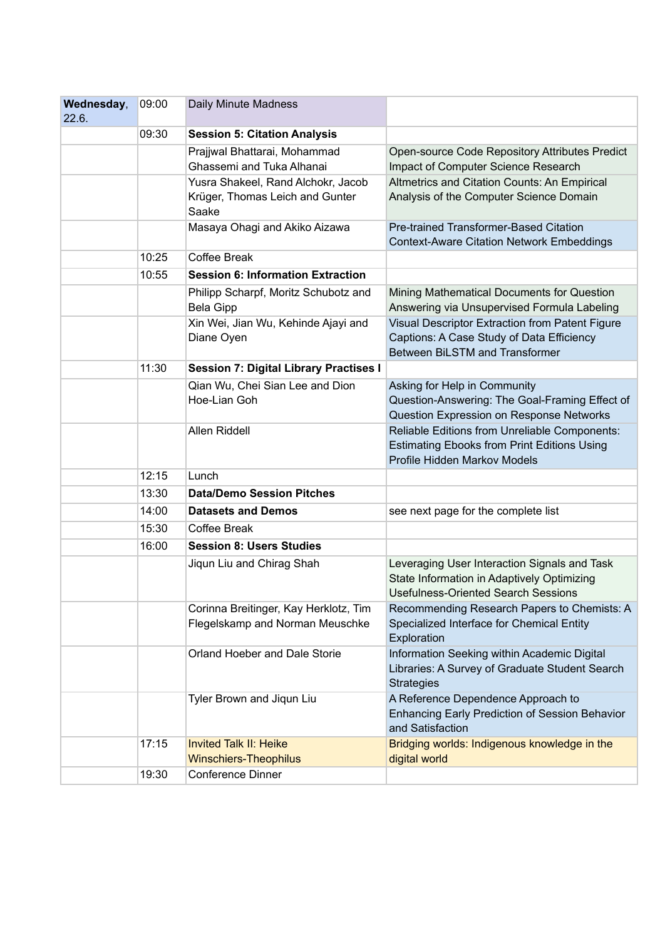| Wednesday,<br>22.6. | 09:00 | Daily Minute Madness                                                           |                                                                                                                                          |
|---------------------|-------|--------------------------------------------------------------------------------|------------------------------------------------------------------------------------------------------------------------------------------|
|                     | 09:30 | <b>Session 5: Citation Analysis</b>                                            |                                                                                                                                          |
|                     |       | Prajjwal Bhattarai, Mohammad<br>Ghassemi and Tuka Alhanai                      | Open-source Code Repository Attributes Predict<br>Impact of Computer Science Research                                                    |
|                     |       | Yusra Shakeel, Rand Alchokr, Jacob<br>Krüger, Thomas Leich and Gunter<br>Saake | Altmetrics and Citation Counts: An Empirical<br>Analysis of the Computer Science Domain                                                  |
|                     |       | Masaya Ohagi and Akiko Aizawa                                                  | Pre-trained Transformer-Based Citation<br><b>Context-Aware Citation Network Embeddings</b>                                               |
|                     | 10:25 | Coffee Break                                                                   |                                                                                                                                          |
|                     | 10:55 | <b>Session 6: Information Extraction</b>                                       |                                                                                                                                          |
|                     |       | Philipp Scharpf, Moritz Schubotz and<br><b>Bela Gipp</b>                       | Mining Mathematical Documents for Question<br>Answering via Unsupervised Formula Labeling                                                |
|                     |       | Xin Wei, Jian Wu, Kehinde Ajayi and<br>Diane Oyen                              | Visual Descriptor Extraction from Patent Figure<br>Captions: A Case Study of Data Efficiency<br>Between BiLSTM and Transformer           |
|                     | 11:30 | <b>Session 7: Digital Library Practises I</b>                                  |                                                                                                                                          |
|                     |       | Qian Wu, Chei Sian Lee and Dion<br>Hoe-Lian Goh                                | Asking for Help in Community<br>Question-Answering: The Goal-Framing Effect of<br>Question Expression on Response Networks               |
|                     |       | Allen Riddell                                                                  | Reliable Editions from Unreliable Components:<br><b>Estimating Ebooks from Print Editions Using</b><br>Profile Hidden Markov Models      |
|                     | 12:15 | Lunch                                                                          |                                                                                                                                          |
|                     | 13:30 | <b>Data/Demo Session Pitches</b>                                               |                                                                                                                                          |
|                     | 14:00 | <b>Datasets and Demos</b>                                                      | see next page for the complete list                                                                                                      |
|                     | 15:30 | Coffee Break                                                                   |                                                                                                                                          |
|                     | 16:00 | <b>Session 8: Users Studies</b>                                                |                                                                                                                                          |
|                     |       | Jiqun Liu and Chirag Shah                                                      | Leveraging User Interaction Signals and Task<br>State Information in Adaptively Optimizing<br><b>Usefulness-Oriented Search Sessions</b> |
|                     |       | Corinna Breitinger, Kay Herklotz, Tim<br>Flegelskamp and Norman Meuschke       | Recommending Research Papers to Chemists: A<br>Specialized Interface for Chemical Entity<br>Exploration                                  |
|                     |       | Orland Hoeber and Dale Storie                                                  | Information Seeking within Academic Digital<br>Libraries: A Survey of Graduate Student Search<br><b>Strategies</b>                       |
|                     |       | Tyler Brown and Jiqun Liu                                                      | A Reference Dependence Approach to<br><b>Enhancing Early Prediction of Session Behavior</b><br>and Satisfaction                          |
|                     | 17:15 | <b>Invited Talk II: Heike</b><br><b>Winschiers-Theophilus</b>                  | Bridging worlds: Indigenous knowledge in the<br>digital world                                                                            |
|                     | 19:30 | Conference Dinner                                                              |                                                                                                                                          |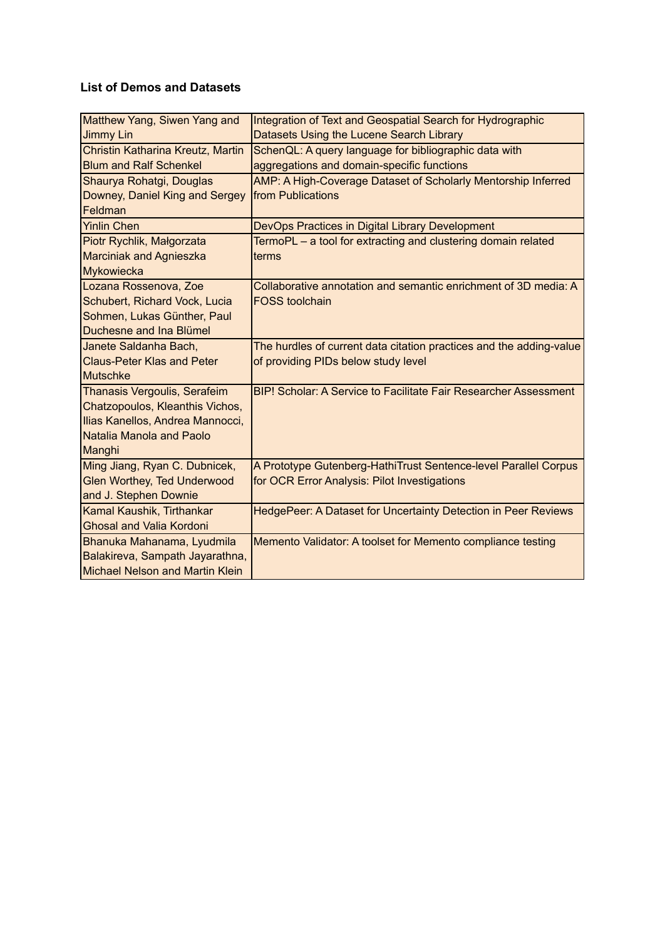## **List of Demos and Datasets**

| Matthew Yang, Siwen Yang and           | Integration of Text and Geospatial Search for Hydrographic          |
|----------------------------------------|---------------------------------------------------------------------|
| <b>Jimmy Lin</b>                       | Datasets Using the Lucene Search Library                            |
| Christin Katharina Kreutz, Martin      | SchenQL: A query language for bibliographic data with               |
| <b>Blum and Ralf Schenkel</b>          | aggregations and domain-specific functions                          |
| Shaurya Rohatgi, Douglas               | AMP: A High-Coverage Dataset of Scholarly Mentorship Inferred       |
| Downey, Daniel King and Sergey         | <b>from Publications</b>                                            |
| Feldman                                |                                                                     |
| <b>Yinlin Chen</b>                     | DevOps Practices in Digital Library Development                     |
| Piotr Rychlik, Małgorzata              | TermoPL - a tool for extracting and clustering domain related       |
| <b>Marciniak and Agnieszka</b>         | terms                                                               |
| Mykowiecka                             |                                                                     |
| Lozana Rossenova, Zoe                  | Collaborative annotation and semantic enrichment of 3D media: A     |
| Schubert, Richard Vock, Lucia          | <b>FOSS toolchain</b>                                               |
| Sohmen, Lukas Günther, Paul            |                                                                     |
| Duchesne and Ina Blümel                |                                                                     |
| Janete Saldanha Bach,                  | The hurdles of current data citation practices and the adding-value |
| <b>Claus-Peter Klas and Peter</b>      | of providing PIDs below study level                                 |
| <b>Mutschke</b>                        |                                                                     |
| Thanasis Vergoulis, Serafeim           | BIP! Scholar: A Service to Facilitate Fair Researcher Assessment    |
| Chatzopoulos, Kleanthis Vichos,        |                                                                     |
| Ilias Kanellos, Andrea Mannocci,       |                                                                     |
| Natalia Manola and Paolo               |                                                                     |
| Manghi                                 |                                                                     |
| Ming Jiang, Ryan C. Dubnicek,          | A Prototype Gutenberg-HathiTrust Sentence-level Parallel Corpus     |
| <b>Glen Worthey, Ted Underwood</b>     | for OCR Error Analysis: Pilot Investigations                        |
| and J. Stephen Downie                  |                                                                     |
| Kamal Kaushik, Tirthankar              | HedgePeer: A Dataset for Uncertainty Detection in Peer Reviews      |
| <b>Ghosal and Valia Kordoni</b>        |                                                                     |
| Bhanuka Mahanama, Lyudmila             | Memento Validator: A toolset for Memento compliance testing         |
| Balakireva, Sampath Jayarathna,        |                                                                     |
| <b>Michael Nelson and Martin Klein</b> |                                                                     |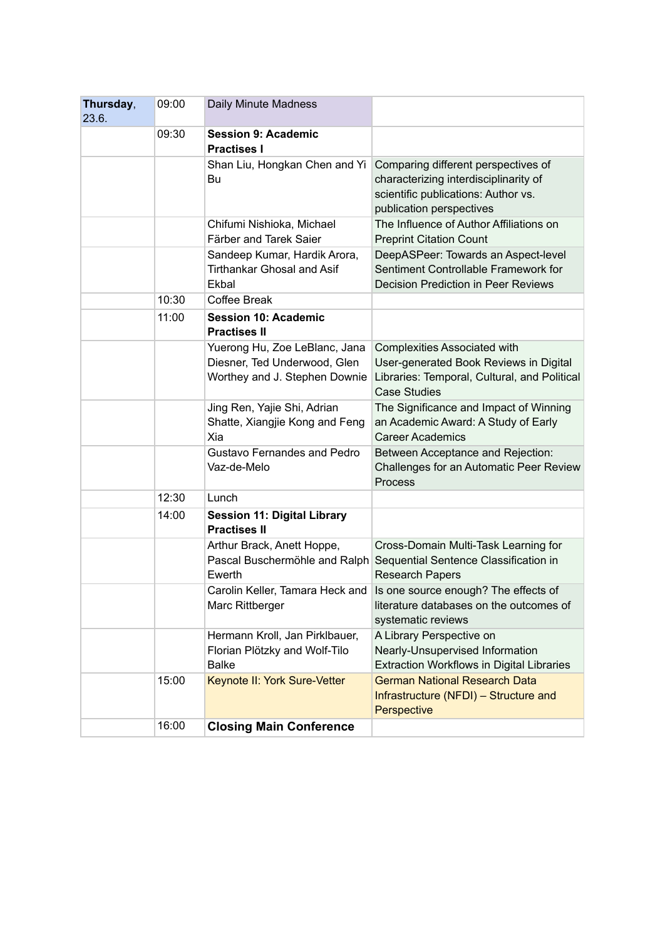| Thursday,<br>23.6. | 09:00                                                              | Daily Minute Madness                                                                           |                                                                                                                                                      |
|--------------------|--------------------------------------------------------------------|------------------------------------------------------------------------------------------------|------------------------------------------------------------------------------------------------------------------------------------------------------|
|                    | 09:30                                                              | <b>Session 9: Academic</b><br><b>Practises I</b>                                               |                                                                                                                                                      |
|                    |                                                                    | Shan Liu, Hongkan Chen and Yi<br>Bu                                                            | Comparing different perspectives of<br>characterizing interdisciplinarity of<br>scientific publications: Author vs.<br>publication perspectives      |
|                    |                                                                    | Chifumi Nishioka, Michael<br>Färber and Tarek Saier                                            | The Influence of Author Affiliations on<br><b>Preprint Citation Count</b>                                                                            |
|                    |                                                                    | Sandeep Kumar, Hardik Arora,<br><b>Tirthankar Ghosal and Asif</b><br>Ekbal                     | DeepASPeer: Towards an Aspect-level<br>Sentiment Controllable Framework for<br><b>Decision Prediction in Peer Reviews</b>                            |
|                    | 10:30                                                              | <b>Coffee Break</b>                                                                            |                                                                                                                                                      |
|                    | 11:00                                                              | <b>Session 10: Academic</b><br><b>Practises II</b>                                             |                                                                                                                                                      |
|                    |                                                                    | Yuerong Hu, Zoe LeBlanc, Jana<br>Diesner, Ted Underwood, Glen<br>Worthey and J. Stephen Downie | <b>Complexities Associated with</b><br>User-generated Book Reviews in Digital<br>Libraries: Temporal, Cultural, and Political<br><b>Case Studies</b> |
|                    |                                                                    | Jing Ren, Yajie Shi, Adrian<br>Shatte, Xiangjie Kong and Feng<br>Xia                           | The Significance and Impact of Winning<br>an Academic Award: A Study of Early<br><b>Career Academics</b>                                             |
|                    |                                                                    | <b>Gustavo Fernandes and Pedro</b><br>Vaz-de-Melo                                              | Between Acceptance and Rejection:<br>Challenges for an Automatic Peer Review<br>Process                                                              |
|                    | 12:30                                                              | Lunch                                                                                          |                                                                                                                                                      |
|                    | 14:00<br><b>Session 11: Digital Library</b><br><b>Practises II</b> |                                                                                                |                                                                                                                                                      |
|                    |                                                                    | Arthur Brack, Anett Hoppe,<br>Pascal Buschermöhle and Ralph<br>Ewerth                          | Cross-Domain Multi-Task Learning for<br>Sequential Sentence Classification in<br><b>Research Papers</b>                                              |
|                    |                                                                    | Carolin Keller, Tamara Heck and<br>Marc Rittberger                                             | Is one source enough? The effects of<br>literature databases on the outcomes of<br>systematic reviews                                                |
|                    |                                                                    | Hermann Kroll, Jan Pirklbauer,<br>Florian Plötzky and Wolf-Tilo<br><b>Balke</b>                | A Library Perspective on<br>Nearly-Unsupervised Information<br><b>Extraction Workflows in Digital Libraries</b>                                      |
|                    | 15:00                                                              | Keynote II: York Sure-Vetter                                                                   | <b>German National Research Data</b><br>Infrastructure (NFDI) - Structure and<br>Perspective                                                         |
|                    | 16:00                                                              | <b>Closing Main Conference</b>                                                                 |                                                                                                                                                      |